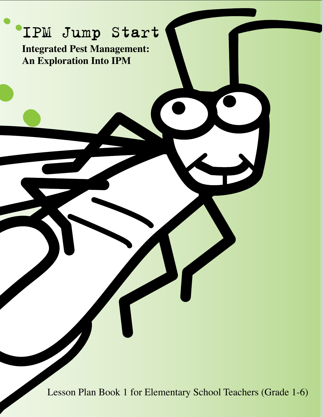# IPM Jump Start

**Integrated Pest Management: An Exploration Into IPM**

Lesson Plan Book 1 for Elementary School Teachers (Grade 1-6)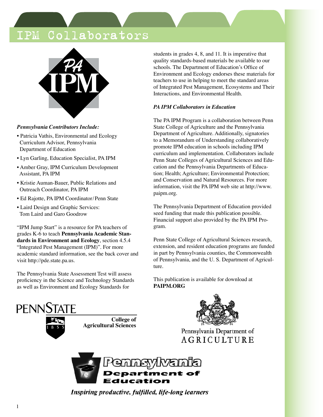### Collaborators



#### *Pennsylvania Contributors Include:*

- Patricia Vathis, Environmental and Ecology Curriculum Advisor, Pennsylvania Department of Education
- Lyn Garling, Education Specialist, PA IPM
- Amber Gray, IPM Curriculum Development Assistant, PA IPM
- Kristie Auman-Bauer, Public Relations and Outreach Coordinator, PA IPM
- Ed Rajotte, PA IPM Coordinator/Penn State
- Laird Design and Graphic Services: Tom Laird and Garo Goodrow

"IPM Jump Start" is a resource for PA teachers of grades K-6 to teach **Pennsylvania Academic Standards in Environment and Ecology**, section 4.5.4 "Integrated Pest Management (IPM)". For more academic standard information, see the back cover and visit http://pde.state.pa.us.

The Pennsylvania State Assessment Test will assess proficiency in the Science and Technology Standards as well as Environment and Ecology Standards for

students in grades 4, 8, and 11. It is imperative that quality standards-based materials be available to our schools. The Department of Education's Office of Environment and Ecology endorses these materials for teachers to use in helping to meet the standard areas of Integrated Pest Management, Ecosystems and Their Interactions, and Environmental Health.

#### *PA IPM Collaborators in Education*

The PA IPM Program is a collaboration between Penn State College of Agriculture and the Pennsylvania Department of Agriculture. Additionally, signatories to a Memorandum of Understanding collaboratively promote IPM education in schools including IPM curriculum and implementation. Collaborators include Penn State Colleges of Agricultural Sciences and Education and the Pennsylvania Departments of Education; Health; Agriculture; Environmental Protection; and Conservation and Natural Resources. For more information, visit the PA IPM web site at http://www. paipm.org.

The Pennsylvania Department of Education provided seed funding that made this publication possible. Financial support also provided by the PA IPM Program.

Penn State College of Agricultural Sciences research, extension, and resident education programs are funded in part by Pennsylvania counties, the Commonwealth of Pennsylvania, and the U. S. Department of Agriculture.

This publication is available for download at **PAIPM.ORG**



**College of Agricultural Sciences**



Pennsylvania Department of AGRICULTURE



Inspiring productive, fulfilled, life-long learners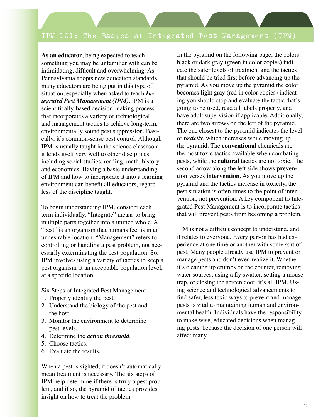**As an educator**, being expected to teach something you may be unfamiliar with can be intimidating, difficult and overwhelming. As Pennsylvania adopts new education standards, many educators are being put in this type of situation, especially when asked to teach *Integrated Pest Management (IPM)*. IPM is a scientifically-based decision-making process that incorporates a variety of technological and management tactics to achieve long-term, environmentally sound pest suppression. Basically, it's common-sense pest control. Although IPM is usually taught in the science classroom, it lends itself very well to other disciplines including social studies, reading, math, history, and economics. Having a basic understanding of IPM and how to incorporate it into a learning environment can benefit all educators, regardless of the discipline taught.

To begin understanding IPM, consider each term individually. "Integrate" means to bring multiple parts together into a unified whole. A "pest" is an organism that humans feel is in an undesirable location. "Management" refers to controlling or handling a pest problem, not necessarily exterminating the pest population. So, IPM involves using a variety of tactics to keep a pest organism at an acceptable population level, at a specific location.

Six Steps of Integrated Pest Management

- 1. Properly identify the pest.
- 2. Understand the biology of the pest and the host.
- 3. Monitor the environment to determine pest levels.
- 4. Determine the *action threshold*.
- 5. Choose tactics.
- 6. Evaluate the results.

When a pest is sighted, it doesn't automatically mean treatment is necessary. The six steps of IPM help determine if there is truly a pest problem, and if so, the pyramid of tactics provides insight on how to treat the problem.

In the pyramid on the following page, the colors black or dark gray (green in color copies) indicate the safer levels of treatment and the tactics that should be tried first before advancing up the pyramid. As you move up the pyramid the color becomes light gray (red in color copies) indicating you should stop and evaluate the tactic that's going to be used, read all labels properly, and have adult supervision if applicable. Additionally, there are two arrows on the left of the pyramid. The one closest to the pyramid indicates the level of *toxicity*, which increases while moving up the pyramid. The **conventional** chemicals are the most toxic tactics available when combating pests, while the **cultural** tactics are not toxic. The second arrow along the left side shows **prevention** verses **intervention**. As you move up the pyramid and the tactics increase in toxicity, the pest situation is often times to the point of intervention, not prevention. A key component to Integrated Pest Management is to incorporate tactics that will prevent pests from becoming a problem.

IPM is not a difficult concept to understand, and it relates to everyone. Every person has had experience at one time or another with some sort of pest. Many people already use IPM to prevent or manage pests and don't even realize it. Whether it's cleaning up crumbs on the counter, removing water sources, using a fly swatter, setting a mouse trap, or closing the screen door, it's all IPM. Using science and technological advancements to find safer, less toxic ways to prevent and manage pests is vital to maintaining human and environmental health. Individuals have the responsibility to make wise, educated decisions when managing pests, because the decision of one person will affect many.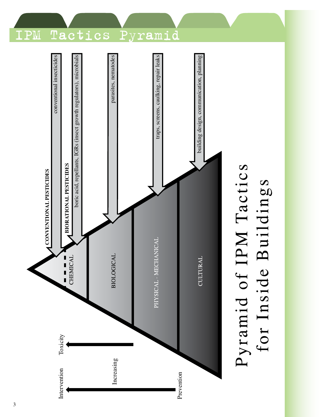

for Inside Buildings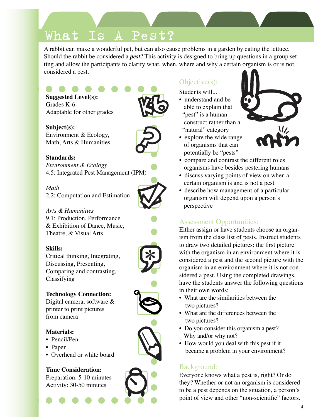## What Is A Pest?

A rabbit can make a wonderful pet, but can also cause problems in a garden by eating the lettuce. Should the rabbit be considered a *pest*? This activity is designed to bring up questions in a group setting and allow the participants to clarify what, when, where and why a certain organism is or is not considered a pest.

- **Suggested Level(s):** Grades K-6 Adaptable for other grades
- **Subject(s):** Environment & Ecology, Math, Arts & Humanities

### **Standards:**

*Environment & Ecology* 4.5: Integrated Pest Management (IPM)

### *Math*

2.2: Computation and Estimation

*Arts & Humanities* 9.1: Production, Performance & Exhibition of Dance, Music, Theatre, & Visual Arts

### **Skills:**

Critical thinking, Integrating, Discussing, Presenting, Comparing and contrasting, Classifying



Digital camera, software & printer to print pictures from camera

### **Materials:**

- Pencil/Pen
- Paper
- Overhead or white board

### **Time Consideration:**

Preparation: 5-10 minutes Activity: 30-50 minutes

### Objective(s):

Students will...

- understand and be able to explain that "pest" is a human construct rather than a "natural" category
- explore the wide range of organisms that can potentially be "pests"
- compare and contrast the different roles organisms have besides pestering humans
- discuss varying points of view on when a certain organism is and is not a pest
- describe how management of a particular organism will depend upon a person's perspective

### Assessment Opportunities:

Either assign or have students choose an organism from the class list of pests. Instruct students to draw two detailed pictures: the first picture with the organism in an environment where it is considered a pest and the second picture with the organism in an environment where it is not considered a pest. Using the completed drawings, have the students answer the following questions in their own words:

- What are the similarities between the two pictures?
- What are the differences between the two pictures?
- Do you consider this organism a pest? Why and/or why not?
- How would you deal with this pest if it became a problem in your environment?

### Background:

Everyone knows what a pest is, right? Or do they? Whether or not an organism is considered to be a pest depends on the situation, a person's point of view and other "non-scientific" factors.











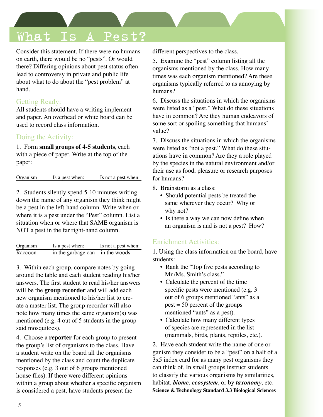## What Is A Pest?

Consider this statement. If there were no humans on earth, there would be no "pests". Or would there? Differing opinions about pest status often lead to controversy in private and public life about what to do about the "pest problem" at hand.

### Getting Ready:

All students should have a writing implement and paper. An overhead or white board can be used to record class information.

### Doing the Activity:

1. Form **small groups of 4-5 students**, each with a piece of paper. Write at the top of the paper:

Organism Is a pest when: Is not a pest when:

2. Students silently spend 5-10 minutes writing down the name of any organism they think might be a pest in the left-hand column. Write when or where it is a pest under the "Pest" column. List a situation when or where that SAME organism is NOT a pest in the far right-hand column.

| Organism | Is a pest when:                 | Is not a pest when: |
|----------|---------------------------------|---------------------|
| Raccoon  | in the garbage can in the woods |                     |

3. Within each group, compare notes by going around the table and each student reading his/her answers. The first student to read his/her answers will be the **group recorder** and will add each new organism mentioned to his/her list to create a master list. The group recorder will also note how many times the same organism(s) was mentioned (e.g. 4 out of 5 students in the group said mosquitoes).

4. Choose a **reporter** for each group to present the group's list of organisms to the class. Have a student write on the board all the organisms mentioned by the class and count the duplicate responses (e.g. 3 out of 6 groups mentioned house flies). If there were different opinions within a group about whether a specific organism is considered a pest, have students present the

different perspectives to the class.

5. Examine the "pest" column listing all the organisms mentioned by the class. How many times was each organism mentioned? Are these organisms typically referred to as annoying by humans?

6. Discuss the situations in which the organisms were listed as a "pest." What do these situations have in common? Are they human endeavors of some sort or spoiling something that humans' value?

7. Discuss the situations in which the organisms were listed as "not a pest." What do these situations have in common? Are they a role played by the species in the natural environment and/or their use as food, pleasure or research purposes for humans?

- 8. Brainstorm as a class:
	- Should potential pests be treated the same wherever they occur? Why or why not?
	- Is there a way we can now define when an organism is and is not a pest? How?

### Enrichment Activities:

1. Using the class information on the board, have students:

- Rank the "Top five pests according to Mr./Ms. Smith's class."
- Calculate the percent of the time specific pests were mentioned (e.g. 3) out of 6 groups mentioned "ants" as a  $pest = 50$  percent of the groups mentioned "ants" as a pest).
- Calculate how many different types of species are represented in the list (mammals, birds, plants, reptiles, etc.).

2. Have each student write the name of one organism they consider to be a "pest" on a half of a 3x5 index card for as many pest organisms they can think of. In small groups instruct students to classify the various organisms by similarities, habitat, *biome*, *ecosystem*, or by *taxonomy*, etc. **Science & Technology Standard 3.3 Biological Sciences**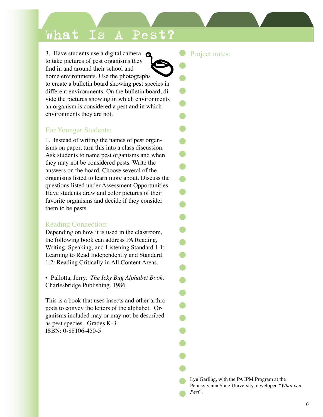## What Is A Pest?

. home environments. Use the photographs 3. Have students use a digital camera  $\bigcirc$ to take pictures of pest organisms they find in and around their school and to create a bulletin board showing pest species in different environments. On the bulletin board, divide the pictures showing in which environments an organism is considered a pest and in which environments they are not.

### For Younger Students:

1. Instead of writing the names of pest organisms on paper, turn this into a class discussion. Ask students to name pest organisms and when they may not be considered pests. Write the answers on the board. Choose several of the organisms listed to learn more about. Discuss the questions listed under Assessment Opportunities. Have students draw and color pictures of their favorite organisms and decide if they consider them to be pests.

### Reading Connection:

Depending on how it is used in the classroom, the following book can address PA Reading, Writing, Speaking, and Listening Standard 1.1: Learning to Read Independently and Standard 1.2: Reading Critically in All Content Areas.

• Pallotta, Jerry. *The Icky Bug Alphabet Book*. Charlesbridge Publishing. 1986.

This is a book that uses insects and other arthropods to convey the letters of the alphabet. Organisms included may or may not be described as pest species. Grades K-3. ISBN: 0-88106-450-5

Project notes:

Lyn Garling, with the PA IPM Program at the Pennsylvania State University, developed "*What is a Pest*".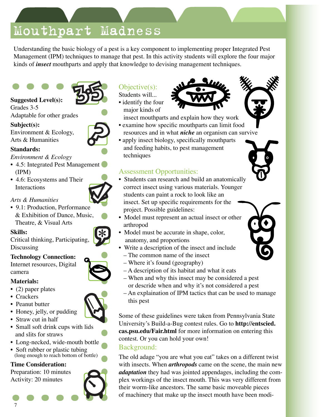## Mouthpart Madness

Understanding the basic biology of a pest is a key component to implementing proper Integrated Pest Management (IPM) techniques to manage that pest. In this activity students will explore the four major kinds of *insect* mouthparts and apply that knowledge to devising management techniques.

#### **Suggested Level(s):** Grades 3-5 Adaptable for other grades

#### **Subject(s):** Environment & Ecology,

Arts & Humanities

### **Standards:**

#### *Environment & Ecology*

- 4.5: Integrated Pest Management (IPM)
- 4.6: Ecosystems and Their Interactions
- *Arts & Humanities*
- 9.1: Production, Performance & Exhibition of Dance, Music, Theatre, & Visual Arts

### **Skills:**

Critical thinking, Participating, Discussing

### **Technology Connection:**

Internet resources, Digital camera

### **Materials:**

- (2) paper plates
- Crackers
- Peanut butter
- Honey, jelly, or pudding
- Straw cut in half
- Small soft drink cups with lids and slits for straws
- Long-necked, wide-mouth bottle
- Soft rubber or plastic tubing (long enough to reach bottom of bottle)

### **Time Consideration:**

Preparation: 10 minutes Activity: 20 minutes

### Objective(s):

Students will... • identify the four major kinds of



- insect mouthparts and explain how they work • examine how specific mouthparts can limit food
- resources and in what *niche* an organism can survive • apply insect biology, specifically mouthparts
- and feeding habits, to pest management techniques

### Assessment Opportunities:

- Students can research and build an anatomically correct insect using various materials. Younger students can paint a rock to look like an insect. Set up specific requirements for the project. Possible guidelines:
- Model must represent an actual insect or other arthropod
- Model must be accurate in shape, color, anatomy, and proportions
- Write a description of the insect and include
	- The common name of the insect
	- Where it's found (geography)
	- A description of its habitat and what it eats
	- When and why this insect may be considered a pest or descride when and why it's not considered a pest
- An explaination of IPM tactics that can be used to manage this pest

Some of these guidelines were taken from Pennsylvania State University's Build-a-Bug contest rules. Go to **http://entscied. cas.psu.edu/Fair.html** for more information on entering this contest. Or you can hold your own!

### Background:

The old adage "you are what you eat" takes on a different twist with insects. When *arthropods* came on the scene, the main new *adaptation* they had was jointed appendages, including the complex workings of the insect mouth. This was very different from their worm-like ancestors. The same basic moveable pieces of machinery that make up the insect mouth have been modi-







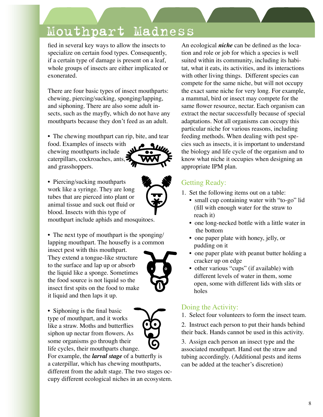8

## Mouthpart Madness

fied in several key ways to allow the insects to specialize on certain food types. Consequently, if a certain type of damage is present on a leaf, whole groups of insects are either implicated or exonerated.

There are four basic types of insect mouthparts: chewing, piercing/sucking, sponging/lapping, and siphoning. There are also some adult insects, such as the mayfly, which do not have any mouthparts because they don't feed as an adult.

• The chewing mouthpart can rip, bite, and tear

food. Examples of insects with chewing mouthparts include caterpillars, cockroaches, ants, and grasshoppers.

• Piercing/sucking mouthparts work like a syringe. They are long tubes that are pierced into plant or animal tissue and suck out fluid or blood. Insects with this type of mouthpart include aphids and mosquitoes.

• The next type of mouthpart is the sponging/ lapping mouthpart. The housefly is a common

insect pest with this mouthpart. They extend a tongue-like structure to the surface and lap up or absorb the liquid like a sponge. Sometimes the food source is not liquid so the insect first spits on the food to make it liquid and then laps it up.

• Siphoning is the final basic type of mouthpart, and it works like a straw. Moths and butterflies some organisms go through their

For example, the *larval stage* of a butterfly is a caterpillar, which has chewing mouthparts, different from the adult stage. The two stages occupy different ecological niches in an ecosystem.

An ecological *niche* can be defined as the location and role or job for which a species is well suited within its community, including its habitat, what it eats, its activities, and its interactions with other living things. Different species can compete for the same niche, but will not occupy the exact same niche for very long. For example, a mammal, bird or insect may compete for the same flower resource, nectar. Each organism can extract the nectar successfully because of special adaptations. Not all organisms can occupy this particular niche for various reasons, including feeding methods. When dealing with pest species such as insects, it is important to understand the biology and life cycle of the organism and to know what niche it occupies when designing an appropriate IPM plan.

### Getting Ready:

- 1. Set the following items out on a table:
	- small cup containing water with "to-go" lid (fill with enough water for the straw to reach it)
	- one long-necked bottle with a little water in the bottom
	- one paper plate with honey, jelly, or pudding on it
	- one paper plate with peanut butter holding a cracker up on edge
	- other various "cups" (if available) with different levels of water in them, some open, some with different lids with slits or holes

### Doing the Activity:

1. Select four volunteers to form the insect team.

2. Instruct each person to put their hands behind their back. Hands cannot be used in this activity.

3. Assign each person an insect type and the associated mouthpart. Hand out the straw and tubing accordingly. (Additional pests and items can be added at the teacher's discretion)



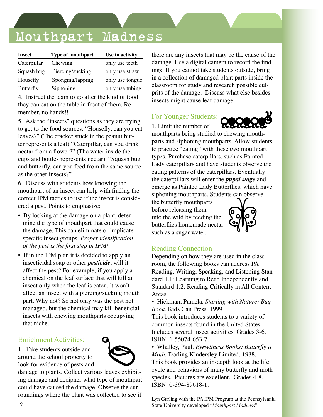## Mouthpart Madness

| Insect           | Type of mouthpart | Use in activity |
|------------------|-------------------|-----------------|
| Caterpillar      | Chewing           | only use teeth  |
| Squash bug       | Piercing/sucking  | only use straw  |
| Housefly         | Sponging/lapping  | only use tongue |
| <b>Butterfly</b> | Siphoning         | only use tubing |

4. Instruct the team to go after the kind of food they can eat on the table in front of them. Remember, no hands!!

5. Ask the "insects" questions as they are trying to get to the food sources: "Housefly, can you eat leaves?" (The cracker stuck in the peanut butter represents a leaf) "Caterpillar, can you drink nectar from a flower?" (The water inside the cups and bottles represents nectar). "Squash bug and butterfly, can you feed from the same source as the other insects?"

6. Discuss with students how knowing the mouthpart of an insect can help with finding the correct IPM tactics to use if the insect is considered a pest. Points to emphasize:

- By looking at the damage on a plant, deter mine the type of mouthpart that could cause the damage. This can eliminate or implicate specific insect groups. *Proper identification of the pest is the first step in IPM!*
- If in the IPM plan it is decided to apply an insecticidal soap or other *pesticide*, will it affect the pest? For example, if you apply a chemical on the leaf surface that will kill an insect only when the leaf is eaten, it won't affect an insect with a piercing/sucking mouth part. Why not? So not only was the pest not managed, but the chemical may kill beneficial insects with chewing mouthparts occupying that niche.

### Enrichment Activities:

1. Take students outside and around the school property to look for evidence of pests and

damage to plants. Collect various leaves exhibiting damage and decipher what type of mouthpart could have caused the damage. Observe the surroundings where the plant was collected to see if there are any insects that may be the cause of the damage. Use a digital camera to record the findings. If you cannot take students outside, bring in a collection of damaged plant parts inside the classroom for study and research possible culprits of the damage. Discuss what else besides insects might cause leaf damage.

### For Younger Students:

1. Limit the number of



mouthparts being studied to chewing mouthparts and siphoning mouthparts. Allow students to practice "eating" with these two mouthpart types. Purchase caterpillars, such as Painted Lady caterpillars and have students observe the eating patterns of the caterpillars. Eventually the caterpillars will enter the *pupal stage* and emerge as Painted Lady Butterflies, which have siphoning mouthparts. Students can observe

the butterfly mouthparts before releasing them into the wild by feeding the butterflies homemade nectar such as a sugar water.



### Reading Connection

Depending on how they are used in the classroom, the following books can address PA Reading, Writing, Speaking, and Listening Standard 1.1: Learning to Read Independently and Standard 1.2: Reading Critically in All Content Areas.

• Hickman, Pamela. *Starting with Nature: Bug Book*. Kids Can Press. 1999.

This book introduces students to a variety of common insects found in the United States. Includes several insect activities. Grades 3-6. ISBN: 1-55074-653-7.

• Whalley, Paul. *Eyewitness Books: Butterfly & Moth*. Dorling Kindersley Limited. 1988. This book provides an in-depth look at the life cycle and behaviors of many butterfly and moth species. Pictures are excellent. Grades 4-8. ISBN: 0-394-89618-1.

Lyn Garling with the PA IPM Program at the Pennsylvania State University developed "*Mouthpart Madness*".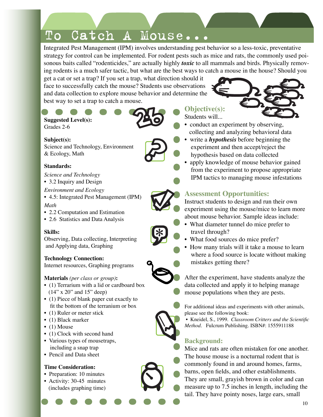Integrated Pest Management (IPM) involves understanding pest behavior so a less-toxic, preventative strategy for control can be implemented. For rodent pests such as mice and rats, the commonly used poisonous baits called "rodenticides," are actually highly *toxic* to all mammals and birds. Physically removing rodents is a much safer tactic, but what are the best ways to catch a mouse in the house? Should you

get a cat or set a trap? If you set a trap, what direction should it face to successfully catch the mouse? Students use observations and data collection to explore mouse behavior and determine the best way to set a trap to catch a mouse.

### **Suggested Level(s):**

Grades 2-6

### **Subject(s):**

Science and Technology, Environment & Ecology, Math

### **Standards:**

- *Science and Technology*
- 3.2 Inquiry and Design

*Environment and Ecology* 

- 4.5: Integrated Pest Management (IPM) *Math*
- 2.2 Computation and Estimation
- 2.6 Statistics and Data Analysis

### **Skills:**

Observing, Data collecting, Interpreting and Applying data, Graphing

### **Technology Connection:**

Internet resources, Graphing programs

### **Materials** *(per class or group)***:**

- (1) Terrarium with a lid or cardboard box (14" x 20" and 15" deep)
- (1) Piece of blank paper cut exactly to fit the bottom of the terranium or box
- (1) Ruler or meter stick
- (1) Black marker
- (1) Mouse
- (1) Clock with second hand
- Various types of mousetraps, including a snap trap
- Pencil and Data sheet

### **Time Consideration:**

- Preparation: 10 minutes
- Activity: 30-45 minutes (includes graphing time)



- Students will... • conduct an experiment by observing, collecting and analyzing behavioral data
- write a *hypothesis* before beginning the experiment and then accept/reject the hypothesis based on data collected
- apply knowledge of mouse behavior gained from the experiment to propose appropriate IPM tactics to managing mouse infestations

### **Assessment Opportunities:**



Instruct students to design and run their own experiment using the mouse/mice to learn more about mouse behavior. Sample ideas include:

- What diameter tunnel do mice prefer to travel through?
- What food sources do mice prefer?
- How many trials will it take a mouse to learn where a food source is locate without making mistakes getting there?

After the experiment, have students analyze the data collected and apply it to helping manage mouse populations when they are pests.

For additional ideas and experiments with other animals, please see the following book:

 • Kneidel, S., 1999. *Classroom Critters and the Scientific Method*. Fulcrum Publishing. ISBN#: 1555911188

### **Background:**

Mice and rats are often mistaken for one another. The house mouse is a nocturnal rodent that is commonly found in and around homes, farms, barns, open fields, and other establishments. They are small, grayish brown in color and can measure up to 7.5 inches in length, including the tail. They have pointy noses, large ears, small

10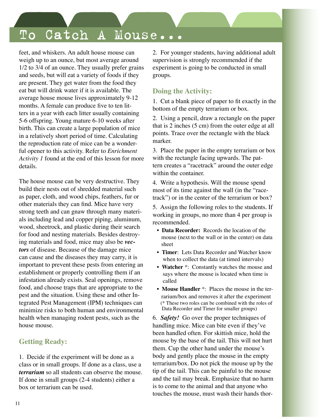feet, and whiskers. An adult house mouse can weigh up to an ounce, but most average around 1/2 to 3/4 of an ounce. They usually prefer grains and seeds, but will eat a variety of foods if they are present. They get water from the food they eat but will drink water if it is available. The average house mouse lives approximately 9-12 months. A female can produce five to ten litters in a year with each litter usually containing 5-6 offspring. Young mature 6-10 weeks after birth. This can create a large population of mice in a relatively short period of time. Calculating the reproduction rate of mice can be a wonderful opener to this activity. Refer to *Enrichment Activity 1* found at the end of this lesson for more details.

The house mouse can be very destructive. They build their nests out of shredded material such as paper, cloth, and wood chips, feathers, fur or other materials they can find. Mice have very strong teeth and can gnaw through many materials including lead and copper piping, aluminum, wood, sheetrock, and plastic during their search for food and nesting materials. Besides destroying materials and food, mice may also be *vectors* of disease. Because of the damage mice can cause and the diseases they may carry, it is important to prevent these pests from entering an establishment or properly controlling them if an infestation already exists. Seal openings, remove food, and choose traps that are appropriate to the pest and the situation. Using these and other Integrated Pest Management (IPM) techniques can minimize risks to both human and environmental health when managing rodent pests, such as the house mouse.

### **Getting Ready:**

1. Decide if the experiment will be done as a class or in small groups. If done as a class, use a *terrarium* so all students can observe the mouse. If done in small groups (2-4 students) either a box or terrarium can be used.

2. For younger students, having additional adult supervision is strongly recommended if the experiment is going to be conducted in small groups.

### **Doing the Activity:**

1. Cut a blank piece of paper to fit exactly in the bottom of the empty terrarium or box.

2. Using a pencil, draw a rectangle on the paper that is 2 inches (5 cm) from the outer edge at all points. Trace over the rectangle with the black marker.

3. Place the paper in the empty terrarium or box with the rectangle facing upwards. The pattern creates a "racetrack" around the outer edge within the container.

4. Write a hypothesis. Will the mouse spend most of its time against the wall (in the "racetrack") or in the center of the terrarium or box?

5. Assign the following roles to the students. If working in groups, no more than 4 per group is recommended.

- **Data Recorder:** Records the location of the mouse (next to the wall or in the center) on data sheet
- **Timer**: Lets Data Recorder and Watcher know when to collect the data (at timed intervals)
- **Watcher** \*: Constantly watches the mouse and says where the mouse is located when time is called
- **Mouse Handler** \*: Places the mouse in the ter rarium/box and removes it after the experiment (\* These two roles can be combined with the roles of Data Recorder and Timer for smaller groups)

6. *Safety!* Go over the proper techniques of handling mice. Mice can bite even if they've been handled often. For skittish mice, hold the mouse by the base of the tail. This will not hurt them. Cup the other hand under the mouse's body and gently place the mouse in the empty terrarium/box. Do not pick the mouse up by the tip of the tail. This can be painful to the mouse and the tail may break. Emphasize that no harm is to come to the animal and that anyone who touches the mouse, must wash their hands thor-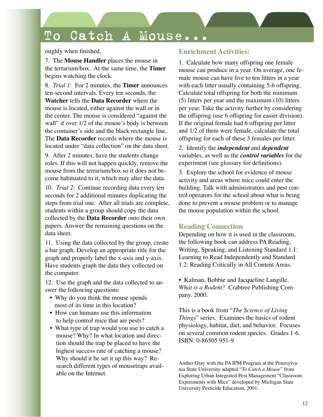oughly when finished.

7. The **Mouse Handler** places the mouse in the terrarium/box. At the same time, the **Timer** begins watching the clock.

8. *Trial 1*: For 2 minutes, the **Timer** announces ten-second intervals. Every ten seconds, the **Watcher** tells the **Data Recorder** where the mouse is located, either against the wall or in the center. The mouse is considered "against the wall" if over  $1/2$  of the mouse's body is between the container's side and the black rectangle line. The **Data Recorder** records where the mouse is located under "data collection" on the data sheet.

9. After 2 minutes, have the students change roles. If this will not happen quickly, remove the mouse from the terrarium/box so it does not become habituated to it, which may alter the data.

10. *Trial 2*: Continue recording data every ten seconds for 2 additional minutes duplicating the steps from trial one. After all trials are complete, students within a group should copy the data collected by the **Data Recorder** onto their own papers. Answer the remaining questions on the data sheet.

11. Using the data collected by the group, create a bar graph. Develop an appropriate title for the graph and properly label the x-axis and y-axis. Have students graph the data they collected on the computer.

12. Use the graph and the data collected to answer the following questions:

- Why do you think the mouse spends most of its time in this location?
- How can humans use this information to help control mice that are pests?
- What type of trap would you use to catch a mouse? Why? In what location and direc tion should the trap be placed to have the highest success rate of catching a mouse? Why should it be set it up this way? Re search different types of mousetraps avail able on the Internet.

### **Enrichment Activities:**

1. Calculate how many offspring one female mouse can produce in a year. On average, one female mouse can have five to ten litters in a year with each litter usually containing 5-6 offspring. Calculate total offspring for both the minimum (5) litters per year and the maximum (10) litters per year. Take the activity further by considering the offspring (use 6 offspring for easier division). If the original female had 6 offspring per litter and 1/2 of them were female, calculate the total offspring for each of these 3 females per litter.

2. Identify the *independent* and *dependent* variables, as well as the *control variables* for the experiment (see glossary for definitions).

3. Explore the school for evidence of mouse activity and areas where mice could enter the building. Talk with administrators and pest control operators for the school about what is being done to prevent a mouse problem or to manage the mouse population within the school.

### **Reading Connection**

Depending on how it is used in the classroom, the following book can address PA Reading, Writing, Speaking, and Listening Standard 1.1: Learning to Read Independently and Standard 1.2: Reading Critically in All Content Areas.

• Kalman, Bobbie and Jacqueline Langille. *What is a Rodent?* Crabtree Publishing Company. 2000.

This is a book from "*The Science of Living Things*" series. Examines the basics of rodent physiology, habitat, diet, and behavior. Focuses on several common rodent species. Grades 1-6. ISBN: 0-86505 951-9

Amber Gray with the PA IPM Program at the Pennsylvania State University adapted "*To Catch a Mouse*" from Exploring Urban Integrated Pest Management "Classroom Experiments with Mice" developed by Michigan State University Pesticide Education, 2001.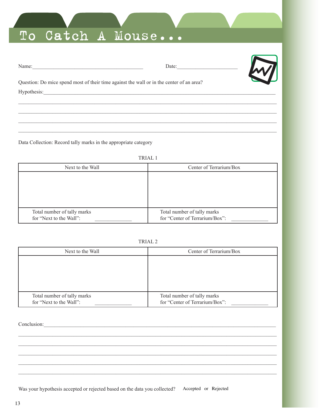| Name: |  |  |
|-------|--|--|

Date:



Question: Do mice spend most of their time against the wall or in the center of an area? 

Data Collection: Record tally marks in the appropriate category

TRIAL 1

| Next to the Wall                                       | Center of Terrarium/Box                                       |
|--------------------------------------------------------|---------------------------------------------------------------|
|                                                        |                                                               |
|                                                        |                                                               |
|                                                        |                                                               |
|                                                        |                                                               |
| Total number of tally marks<br>for "Next to the Wall": | Total number of tally marks<br>for "Center of Terrarium/Box": |

|--|--|

| Next to the Wall                                       | Center of Terrarium/Box                                       |
|--------------------------------------------------------|---------------------------------------------------------------|
|                                                        |                                                               |
|                                                        |                                                               |
|                                                        |                                                               |
|                                                        |                                                               |
| Total number of tally marks<br>for "Next to the Wall": | Total number of tally marks<br>for "Center of Terrarium/Box": |

Conclusion: Conclusion:

Was your hypothesis accepted or rejected based on the data you collected? Accepted or Rejected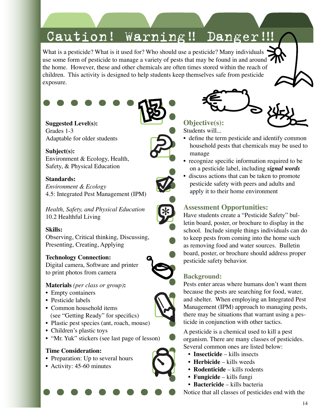## Caution! Warning!! Danger!!!

What is a pesticide? What is it used for? Who should use a pesticide? Many individuals  $\cdot$ use some form of pesticide to manage a variety of pests that may be found in and around the home. However, these and other chemicals are often times stored within the reach of children. This activity is designed to help students keep themselves safe from pesticide exposure.



Grades 1-3 Adaptable for older students

**Subject(s):** Environment & Ecology, Health, Safety, & Physical Education

### **Standards:**

*Environment & Ecology* 4.5: Integrated Pest Management (IPM)

*Health, Safety, and Physical Education* 10.2 Healthful Living

### **Skills:**

Observing, Critical thinking, Discussing, Presenting, Creating, Applying

### **Technology Connection:**

Digital camera, Software and printer to print photos from camera

### **Materials** *(per class or group)***:**

- Empty containers
- Pesticide labels
- Common household items (see "Getting Ready" for specifics)
- Plastic pest species (ant, roach, mouse)
- Children's plastic toys
- "Mr. Yuk" stickers (see last page of lesson)

### **Time Consideration:**

- Preparation: Up to several hours
- Activity: 45-60 minutes



**Objective(s):** Students will...

- define the term pesticide and identify common household pests that chemicals may be used to manage
- recognize specific information required to be on a pesticide label, including *signal words*
- discuss actions that can be taken to promote pesticide safety with peers and adults and apply it to their home environment

### **Assessment Opportunities:**

Have students create a "Pesticide Safety" bulletin board, poster, or brochure to display in the school. Include simple things individuals can do to keep pests from coming into the home such as removing food and water sources. Bulletin board, poster, or brochure should address proper pesticide safety behavior.

### **Background:**

Pests enter areas where humans don't want them because the pests are searching for food, water, and shelter. When employing an Integrated Pest Management (IPM) approach to managing pests, there may be situations that warrant using a pesticide in conjunction with other tactics.

A pesticide is a chemical used to kill a pest organism. There are many classes of pesticides. Several common ones are listed below:

- **Insecticide** kills insects
- **Herbicide** kills weeds
- **Rodenticide** kills rodents
- **Fungicide** kills fungi
- **Bactericide** kills bacteria

Notice that all classes of pesticides end with the





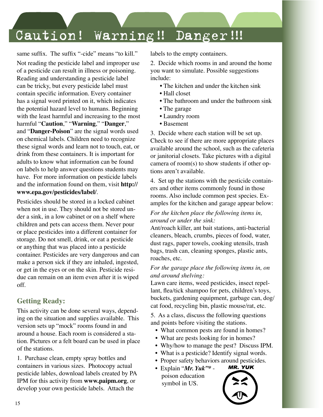## Caution! Warning!! Danger!!!

same suffix. The suffix "-cide" means "to kill."

Not reading the pesticide label and improper use of a pesticide can result in illness or poisoning. Reading and understanding a pesticide label can be tricky, but every pesticide label must contain specific information. Every container has a signal word printed on it, which indicates the potential hazard level to humans. Beginning with the least harmful and increasing to the most harmful "**Caution**," "**Warning**," "**Danger**," and "**Danger-Poison**" are the signal words used on chemical labels. Children need to recognize these signal words and learn not to touch, eat, or drink from these containers. It is important for adults to know what information can be found on labels to help answer questions students may have. For more information on pesticide labels and the information found on them, visit **http:// www.epa.gov/pesticides/label/**.

Pesticides should be stored in a locked cabinet when not in use. They should not be stored under a sink, in a low cabinet or on a shelf where children and pets can access them. Never pour or place pesticides into a different container for storage. Do not smell, drink, or eat a pesticide or anything that was placed into a pesticide container. Pesticides are very dangerous and can make a person sick if they are inhaled, ingested, or get in the eyes or on the skin. Pesticide residue can remain on an item even after it is wiped off.

### **Getting Ready:**

This activity can be done several ways, depending on the situation and supplies available. This version sets up "mock" rooms found in and around a house. Each room is considered a station. Pictures or a felt board can be used in place of the stations.

1. Purchase clean, empty spray bottles and containers in various sizes. Photocopy actual pesticide lables, download labels created by PA IPM for this activity from **www.paipm.org**, or develop your own pesticide labels. Attach the

labels to the empty containers.

2. Decide which rooms in and around the home you want to simulate. Possible suggestions include:

- The kitchen and under the kitchen sink
- Hall closet
- The bathroom and under the bathroom sink
- The garage
- Laundry room
- Basement

3. Decide where each station will be set up. Check to see if there are more appropriate places available around the school, such as the cafeteria or janitorial closets. Take pictures with a digital camera of room(s) to show students if other options aren't available.

4. Set up the stations with the pesticide containers and other items commonly found in those rooms. Also include common pest species. Examples for the kitchen and garage appear below:

#### *For the kitchen place the following items in, around or under the sink:*

Ant/roach killer, ant bait stations, anti-bacterial cleaners, bleach, crumbs, pieces of food, water, dust rags, paper towels, cooking utensils, trash bags, trash can, cleaning sponges, plastic ants, roaches, etc.

#### *For the garage place the following items in, on and around shelving:*

Lawn care items, weed pesticides, insect repellant, flea/tick shampoo for pets, children's toys, buckets, gardening equipment, garbage can, dog/ cat food, recycling bin, plastic mouse/rat, etc.

5. As a class, discuss the following questions and points before visiting the stations.

- What common pests are found in homes?
- What are pests looking for in homes?
- Why/how to manage the pest? Discuss IPM.
- What is a pesticide? Identify signal words.
- Proper safety behaviors around pesticides.<br>• Explain "*Mr. Yuk*" \* **MR. YUK**
- Explain "*Mr. Yuk"\** poison education symbol in US.

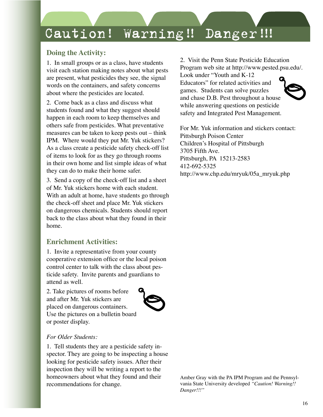## Caution! Warning!! Danger!!!

### **Doing the Activity:**

1. In small groups or as a class, have students visit each station making notes about what pests are present, what pesticides they see, the signal words on the containers, and safety concerns about where the pesticides are located.

2. Come back as a class and discuss what students found and what they suggest should happen in each room to keep themselves and others safe from pesticides. What preventative measures can be taken to keep pests out – think IPM. Where would they put Mr. Yuk stickers? As a class create a pesticide safety check-off list of items to look for as they go through rooms in their own home and list simple ideas of what they can do to make their home safer.

3. Send a copy of the check-off list and a sheet of Mr. Yuk stickers home with each student. With an adult at home, have students go through the check-off sheet and place Mr. Yuk stickers on dangerous chemicals. Students should report back to the class about what they found in their home.

### **Enrichment Activities:**

1. Invite a representative from your county cooperative extension office or the local poison control center to talk with the class about pesticide safety. Invite parents and guardians to attend as well.

2. Take pictures of rooms before and after Mr. Yuk stickers are placed on dangerous containers. Use the pictures on a bulletin board or poster display.



#### *For Older Students:*

1. Tell students they are a pesticide safety inspector. They are going to be inspecting a house looking for pesticide safety issues. After their inspection they will be writing a report to the homeowners about what they found and their recommendations for change.

2. Visit the Penn State Pesticide Education Program web site at http://www.pested.psu.edu/.

Look under "Youth and K-12 Educators" for related activities and games. Students can solve puzzles and chase D.B. Pest throughout a house while answering questions on pesticide safety and Integrated Pest Management.

For Mr. Yuk information and stickers contact: Pittsburgh Poison Center Children's Hospital of Pittsburgh 3705 Fifth Ave. Pittsburgh, PA 15213-2583 412-692-5325 http://www.chp.edu/mryuk/05a\_mryuk.php

Amber Gray with the PA IPM Program and the Pennsylvania State University developed *"Caution! Warning!! Danger!!!"*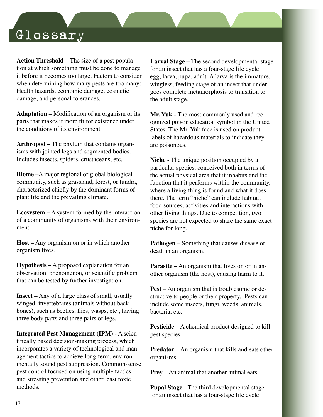## Glossary

**Action Threshold –** The size of a pest population at which something must be done to manage it before it becomes too large. Factors to consider when determining how many pests are too many: Health hazards, economic damage, cosmetic damage, and personal tolerances.

**Adaptation –** Modification of an organism or its parts that makes it more fit for existence under the conditions of its environment.

**Arthropod –** The phylum that contains organisms with jointed legs and segmented bodies. Includes insects, spiders, crustaceans, etc.

**Biome –**A major regional or global biological community, such as grassland, forest, or tundra, characterized chiefly by the dominant forms of plant life and the prevailing climate.

**Ecosystem –** A system formed by the interaction of a community of organisms with their environment.

**Host –** Any organism on or in which another organism lives.

**Hypothesis –** A proposed explanation for an observation, phenomenon, or scientific problem that can be tested by further investigation.

**Insect –** Any of a large class of small, usually winged, invertebrates (animals without backbones), such as beetles, flies, wasps, etc., having three body parts and three pairs of legs.

**Integrated Pest Management (IPM) -** A scientifically based decision-making process, which incorporates a variety of technological and management tactics to achieve long-term, environmentally sound pest suppression. Common-sense pest control focused on using multiple tactics and stressing prevention and other least toxic methods.

**Larval Stage –** The second developmental stage for an insect that has a four-stage life cycle: egg, larva, pupa, adult. A larva is the immature, wingless, feeding stage of an insect that undergoes complete metamorphosis to transition to the adult stage.

**Mr. Yuk -** The most commonly used and recognized poison education symbol in the United States. The Mr. Yuk face is used on product labels of hazardous materials to indicate they are poisonous.

**Niche -** The unique position occupied by a particular species, conceived both in terms of the actual physical area that it inhabits and the function that it performs within the community, where a living thing is found and what it does there. The term "niche" can include habitat, food sources, activities and interactions with other living things. Due to competition, two species are not expected to share the same exact niche for long.

**Pathogen –** Something that causes disease or death in an organism.

**Parasite –** An organism that lives on or in another organism (the host), causing harm to it.

**Pest** – An organism that is troublesome or destructive to people or their property. Pests can include some insects, fungi, weeds, animals, bacteria, etc.

**Pesticide** – A chemical product designed to kill pest species.

**Predator** – An organism that kills and eats other organisms.

**Prey** – An animal that another animal eats.

**Pupal Stage** - The third developmental stage for an insect that has a four-stage life cycle: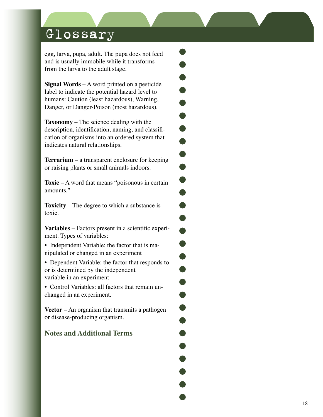## Glossary

egg, larva, pupa, adult. The pupa does not feed and is usually immobile while it transforms from the larva to the adult stage.

**Signal Words** – A word printed on a pesticide label to indicate the potential hazard level to humans: Caution (least hazardous), Warning, Danger, or Danger-Poison (most hazardous).

**Taxonomy** – The science dealing with the description, identification, naming, and classification of organisms into an ordered system that indicates natural relationships.

 $\blacksquare$ 

 $\bullet$ 

 $\bullet$ 

Ð

**Terrarium** – a transparent enclosure for keeping or raising plants or small animals indoors.

**Toxic** – A word that means "poisonous in certain amounts."

**Toxicity** – The degree to which a substance is toxic.

**Variables** – Factors present in a scientific experiment. Types of variables:

• Independent Variable: the factor that is manipulated or changed in an experiment

• Dependent Variable: the factor that responds to or is determined by the independent variable in an experiment

• Control Variables: all factors that remain unchanged in an experiment.

**Vector** – An organism that transmits a pathogen or disease-producing organism.

### **Notes and Additional Terms**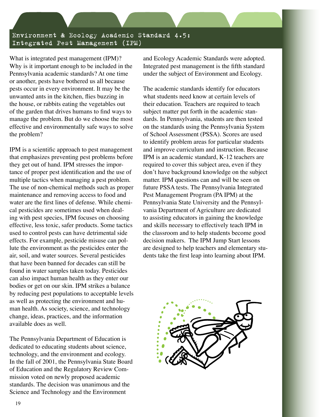Environment & Ecology Academic Standard 4.5: Integrated Pest Management (IPM)

What is integrated pest management (IPM)? Why is it important enough to be included in the Pennsylvania academic standards? At one time or another, pests have bothered us all because pests occur in every environment. It may be the unwanted ants in the kitchen, flies buzzing in the house, or rabbits eating the vegetables out of the garden that drives humans to find ways to manage the problem. But do we choose the most effective and environmentally safe ways to solve the problem?

IPM is a scientific approach to pest management that emphasizes preventing pest problems before they get out of hand. IPM stresses the importance of proper pest identification and the use of multiple tactics when managing a pest problem. The use of non-chemical methods such as proper maintenance and removing access to food and water are the first lines of defense. While chemical pesticides are sometimes used when dealing with pest species, IPM focuses on choosing effective, less toxic, safer products. Some tactics used to control pests can have detrimental side effects. For example, pesticide misuse can pollute the environment as the pesticides enter the air, soil, and water sources. Several pesticides that have been banned for decades can still be found in water samples taken today. Pesticides can also impact human health as they enter our bodies or get on our skin. IPM strikes a balance by reducing pest populations to acceptable levels as well as protecting the environment and human health. As society, science, and technology change, ideas, practices, and the information available does as well.

The Pennsylvania Department of Education is dedicated to educating students about science, technology, and the environment and ecology. In the fall of 2001, the Pennsylvania State Board of Education and the Regulatory Review Commission voted on newly proposed academic standards. The decision was unanimous and the Science and Technology and the Environment

and Ecology Academic Standards were adopted. Integrated pest management is the fifth standard under the subject of Environment and Ecology.

The academic standards identify for educators what students need know at certain levels of their education. Teachers are required to teach subject matter put forth in the academic standards. In Pennsylvania, students are then tested on the standards using the Pennsylvania System of School Assessment (PSSA). Scores are used to identify problem areas for particular students and improve curriculum and instruction. Because IPM is an academic standard, K-12 teachers are required to cover this subject area, even if they don't have background knowledge on the subject matter. IPM questions can and will be seen on future PSSA tests. The Pennsylvania Integrated Pest Management Program (PA IPM) at the Pennsylvania State University and the Pennsylvania Department of Agriculture are dedicated to assisting educators in gaining the knowledge and skills necessary to effectively teach IPM in the classroom and to help students become good decision makers. The IPM Jump Start lessons are designed to help teachers and elementary students take the first leap into learning about IPM.